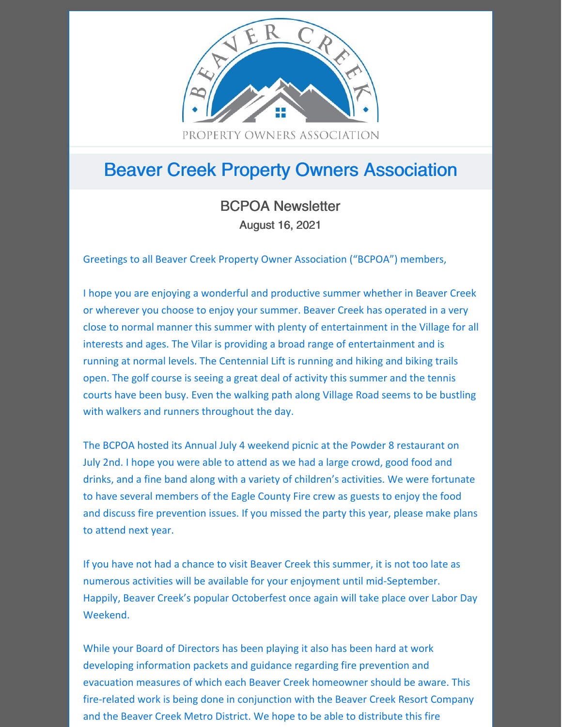

# Beaver Creek Property Owners Association

BCPOA Newsletter August 16, 2021

Greetings to all Beaver Creek Property Owner Association ("BCPOA") members,

I hope you are enjoying a wonderful and productive summer whether in Beaver Creek or wherever you choose to enjoy your summer. Beaver Creek has operated in a very close to normal manner this summer with plenty of entertainment in the Village for all interests and ages. The Vilar is providing a broad range of entertainment and is running at normal levels. The Centennial Lift is running and hiking and biking trails open. The golf course is seeing a great deal of activity this summer and the tennis courts have been busy. Even the walking path along Village Road seems to be bustling with walkers and runners throughout the day.

The BCPOA hosted its Annual July 4 weekend picnic at the Powder 8 restaurant on July 2nd. I hope you were able to attend as we had a large crowd, good food and drinks, and a fine band along with a variety of children's activities. We were fortunate to have several members of the Eagle County Fire crew as guests to enjoy the food and discuss fire prevention issues. If you missed the party this year, please make plans to attend next year.

If you have not had a chance to visit Beaver Creek this summer, it is not too late as numerous activities will be available for your enjoyment until mid-September. Happily, Beaver Creek's popular Octoberfest once again will take place over Labor Day Weekend.

While your Board of Directors has been playing it also has been hard at work developing information packets and guidance regarding fire prevention and evacuation measures of which each Beaver Creek homeowner should be aware. This fire-related work is being done in conjunction with the Beaver Creek Resort Company and the Beaver Creek Metro District. We hope to be able to distribute this fire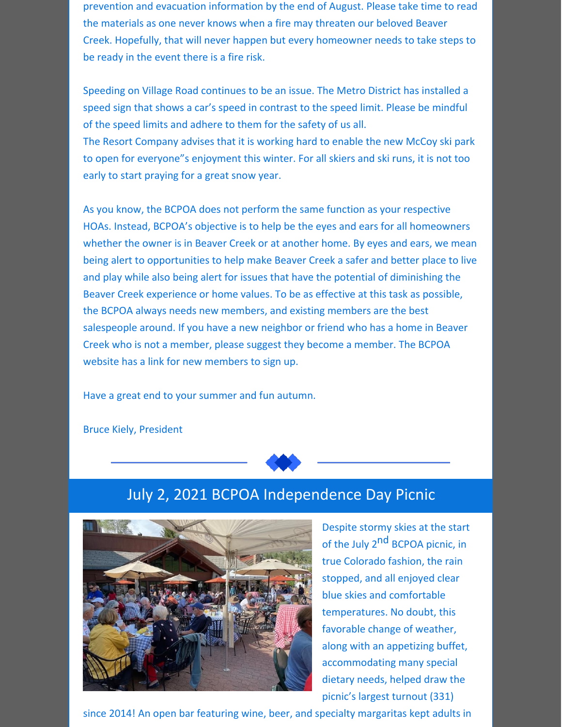prevention and evacuation information by the end of August. Please take time to read the materials as one never knows when a fire may threaten our beloved Beaver Creek. Hopefully, that will never happen but every homeowner needs to take steps to be ready in the event there is a fire risk.

Speeding on Village Road continues to be an issue. The Metro District has installed a speed sign that shows a car's speed in contrast to the speed limit. Please be mindful of the speed limits and adhere to them for the safety of us all.

The Resort Company advises that it is working hard to enable the new McCoy ski park to open for everyone"s enjoyment this winter. For all skiers and ski runs, it is not too early to start praying for a great snow year.

As you know, the BCPOA does not perform the same function as your respective HOAs. Instead, BCPOA's objective is to help be the eyes and ears for all homeowners whether the owner is in Beaver Creek or at another home. By eyes and ears, we mean being alert to opportunities to help make Beaver Creek a safer and better place to live and play while also being alert for issues that have the potential of diminishing the Beaver Creek experience or home values. To be as effective at this task as possible, the BCPOA always needs new members, and existing members are the best salespeople around. If you have a new neighbor or friend who has a home in Beaver Creek who is not a member, please suggest they become a member. The BCPOA website has a link for new members to sign up.

Have a great end to your summer and fun autumn.

Bruce Kiely, President



## July 2, 2021 BCPOA Independence Day Picnic



Despite stormy skies at the start of the July 2<sup>nd</sup> BCPOA picnic, in true Colorado fashion, the rain stopped, and all enjoyed clear blue skies and comfortable temperatures. No doubt, this favorable change of weather, along with an appetizing buffet, accommodating many special dietary needs, helped draw the picnic's largest turnout (331)

since 2014! An open bar featuring wine, beer, and specialty margaritas kept adults in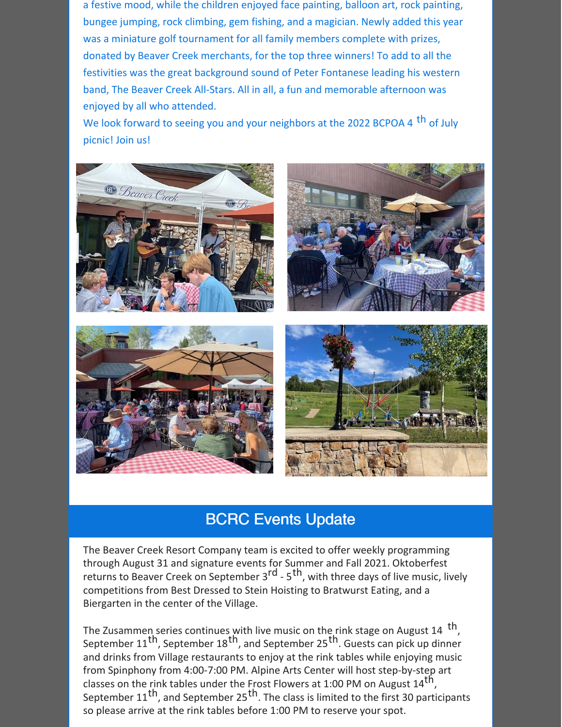a festive mood, while the children enjoyed face painting, balloon art, rock painting, bungee jumping, rock climbing, gem fishing, and a magician. Newly added this year was a miniature golf tournament for all family members complete with prizes, donated by Beaver Creek merchants, for the top three winners! To add to all the festivities was the great background sound of Peter Fontanese leading his western band, The Beaver Creek All-Stars. All in all, a fun and memorable afternoon was enjoyed by all who attended.

We look forward to seeing you and your neighbors at the 2022 BCPOA 4 <sup>th</sup> of July picnic! Join us!



### BCRC Events Update

The Beaver Creek Resort Company team is excited to offer weekly programming through August 31 and signature events for Summer and Fall 2021. Oktoberfest returns to Beaver Creek on September  $3^{rd}$  -  $5^{th}$ , with three days of live music, lively competitions from Best Dressed to Stein Hoisting to Bratwurst Eating, and a Biergarten in the center of the Village.

The Zusammen series continues with live music on the rink stage on August 14  $\,^{\rm th}$ , September 11<sup>th</sup>, September 18<sup>th</sup>, and September 25<sup>th</sup>. Guests can pick up dinner and drinks from Village restaurants to enjoy at the rink tables while enjoying music from Spinphony from 4:00-7:00 PM. Alpine Arts Center will host step-by-step art classes on the rink tables under the Frost Flowers at 1:00 PM on August  $14<sup>th</sup>$ , September 11<sup>th</sup>, and September 25<sup>th</sup>. The class is limited to the first 30 participants so please arrive at the rink tables before 1:00 PM to reserve your spot.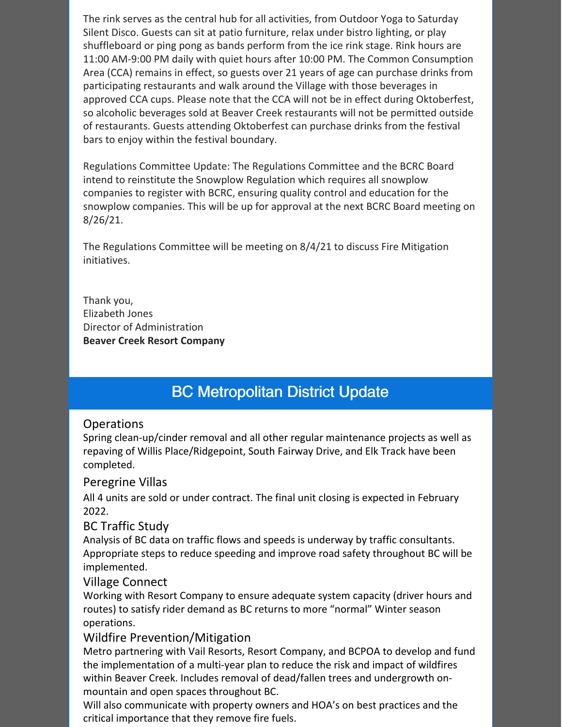The rink serves as the central hub for all activities, from Outdoor Yoga to Saturday Silent Disco. Guests can sit at patio furniture, relax under bistro lighting, or play shuffleboard or ping pong as bands perform from the ice rink stage. Rink hours are 11:00 AM-9:00 PM daily with quiet hours after 10:00 PM. The Common Consumption Area (CCA) remains in effect, so guests over 21 years of age can purchase drinks from participating restaurants and walk around the Village with those beverages in approved CCA cups. Please note that the CCA will not be in effect during Oktoberfest, so alcoholic beverages sold at Beaver Creek restaurants will not be permitted outside of restaurants. Guests attending Oktoberfest can purchase drinks from the festival bars to enjoy within the festival boundary.

Regulations Committee Update: The Regulations Committee and the BCRC Board intend to reinstitute the Snowplow Regulation which requires all snowplow companies to register with BCRC, ensuring quality control and education for the snowplow companies. This will be up for approval at the next BCRC Board meeting on 8/26/21.

The Regulations Committee will be meeting on 8/4/21 to discuss Fire Mitigation initiatives.

Thank you, Elizabeth Jones Director of Administration **Beaver Creek Resort Company**

### BC Metropolitan District Update

#### **Operations**

Spring clean-up/cinder removal and all other regular maintenance projects as well as repaving of Willis Place/Ridgepoint, South Fairway Drive, and Elk Track have been completed.

#### Peregrine Villas

All 4 units are sold or under contract. The final unit closing is expected in February 2022.

#### BC Traffic Study

Analysis of BC data on traffic flows and speeds is underway by traffic consultants. Appropriate steps to reduce speeding and improve road safety throughout BC will be implemented.

#### Village Connect

Working with Resort Company to ensure adequate system capacity (driver hours and routes) to satisfy rider demand as BC returns to more "normal" Winter season operations.

#### Wildfire Prevention/Mitigation

Metro partnering with Vail Resorts, Resort Company, and BCPOA to develop and fund the implementation of a multi-year plan to reduce the risk and impact of wildfires within Beaver Creek. Includes removal of dead/fallen trees and undergrowth onmountain and open spaces throughout BC.

Will also communicate with property owners and HOA's on best practices and the critical importance that they remove fire fuels.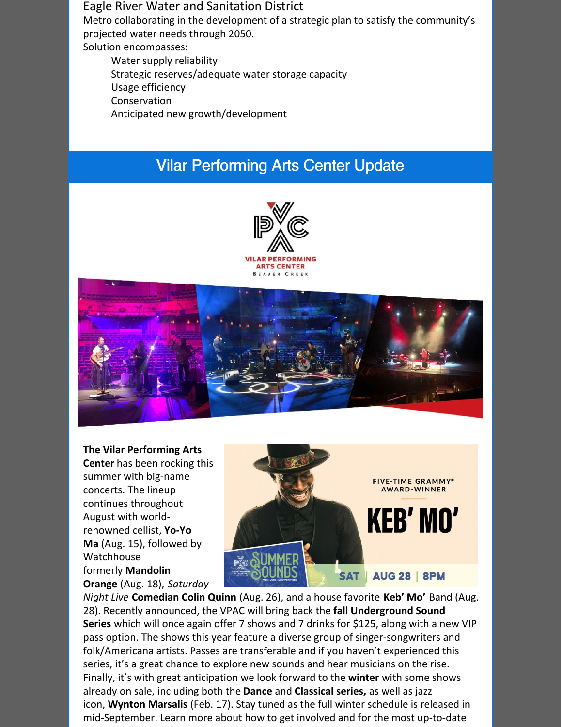#### Eagle River Water and Sanitation District

Metro collaborating in the development of a strategic plan to satisfy the community's projected water needs through 2050.

Solution encompasses:

Water supply reliability Strategic reserves/adequate water storage capacity Usage efficiency Conservation Anticipated new growth/development

# Vilar Performing Arts Center Update





**The Vilar Performing Arts Center** has been rocking this summer with big-name concerts. The lineup continues throughout August with worldrenowned cellist, **Yo-Yo Ma** (Aug. 15), followed by Watchhouse formerly **Mandolin Orange** (Aug. 18), *Saturday*



*Night Live* **Comedian Colin Quinn** (Aug. 26), and a house favorite **Keb' Mo'** Band (Aug. 28). Recently announced, the VPAC will bring back the **fall Underground Sound Series** which will once again offer 7 shows and 7 drinks for \$125, along with a new VIP pass option. The shows this year feature a diverse group of singer-songwriters and folk/Americana artists. Passes are transferable and if you haven't experienced this series, it's a great chance to explore new sounds and hear musicians on the rise. Finally, it's with great anticipation we look forward to the **winter** with some shows already on sale, including both the **Dance** and **Classical series,** as well as jazz icon, **Wynton Marsalis** (Feb. 17). Stay tuned as the full winter schedule is released in mid-September. Learn more about how to get involved and for the most up-to-date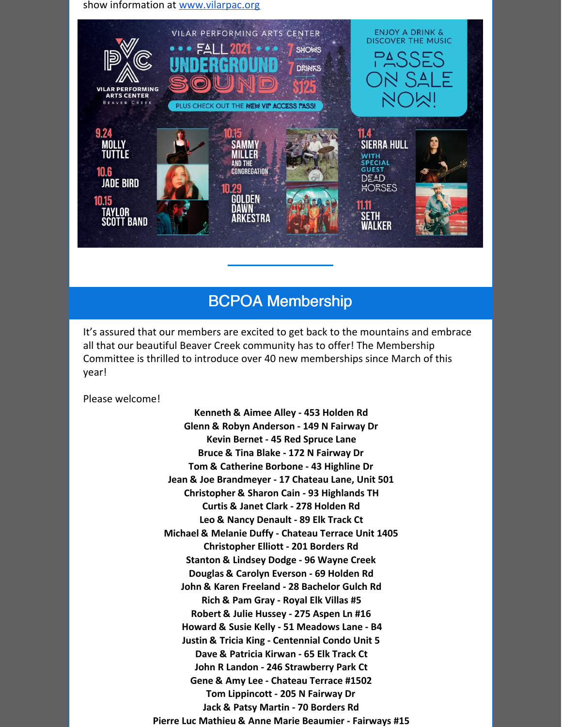show information at [www.vilarpac.org](http://www.vilarpac.org/)



### BCPOA Membership

It's assured that our members are excited to get back to the mountains and embrace all that our beautiful Beaver Creek community has to offer! The Membership Committee is thrilled to introduce over 40 new memberships since March of this year!

Please welcome!

**Kenneth & Aimee Alley - 453 Holden Rd Glenn & Robyn Anderson - 149 N Fairway Dr Kevin Bernet - 45 Red Spruce Lane Bruce & Tina Blake - 172 N Fairway Dr Tom & Catherine Borbone - 43 Highline Dr Jean & Joe Brandmeyer - 17 Chateau Lane, Unit 501 Christopher & Sharon Cain - 93 Highlands TH Curtis & Janet Clark - 278 Holden Rd Leo & Nancy Denault - 89 Elk Track Ct Michael & Melanie Duffy - Chateau Terrace Unit 1405 Christopher Elliott - 201 Borders Rd Stanton & Lindsey Dodge - 96 Wayne Creek Douglas & Carolyn Everson - 69 Holden Rd John & Karen Freeland - 28 Bachelor Gulch Rd Rich & Pam Gray - Royal Elk Villas #5 Robert & Julie Hussey - 275 Aspen Ln #16 Howard & Susie Kelly - 51 Meadows Lane - B4 Justin & Tricia King - Centennial Condo Unit 5 Dave & Patricia Kirwan - 65 Elk Track Ct John R Landon - 246 Strawberry Park Ct Gene & Amy Lee - Chateau Terrace #1502 Tom Lippincott - 205 N Fairway Dr Jack & Patsy Martin - 70 Borders Rd Pierre Luc Mathieu & Anne Marie Beaumier - Fairways #15**